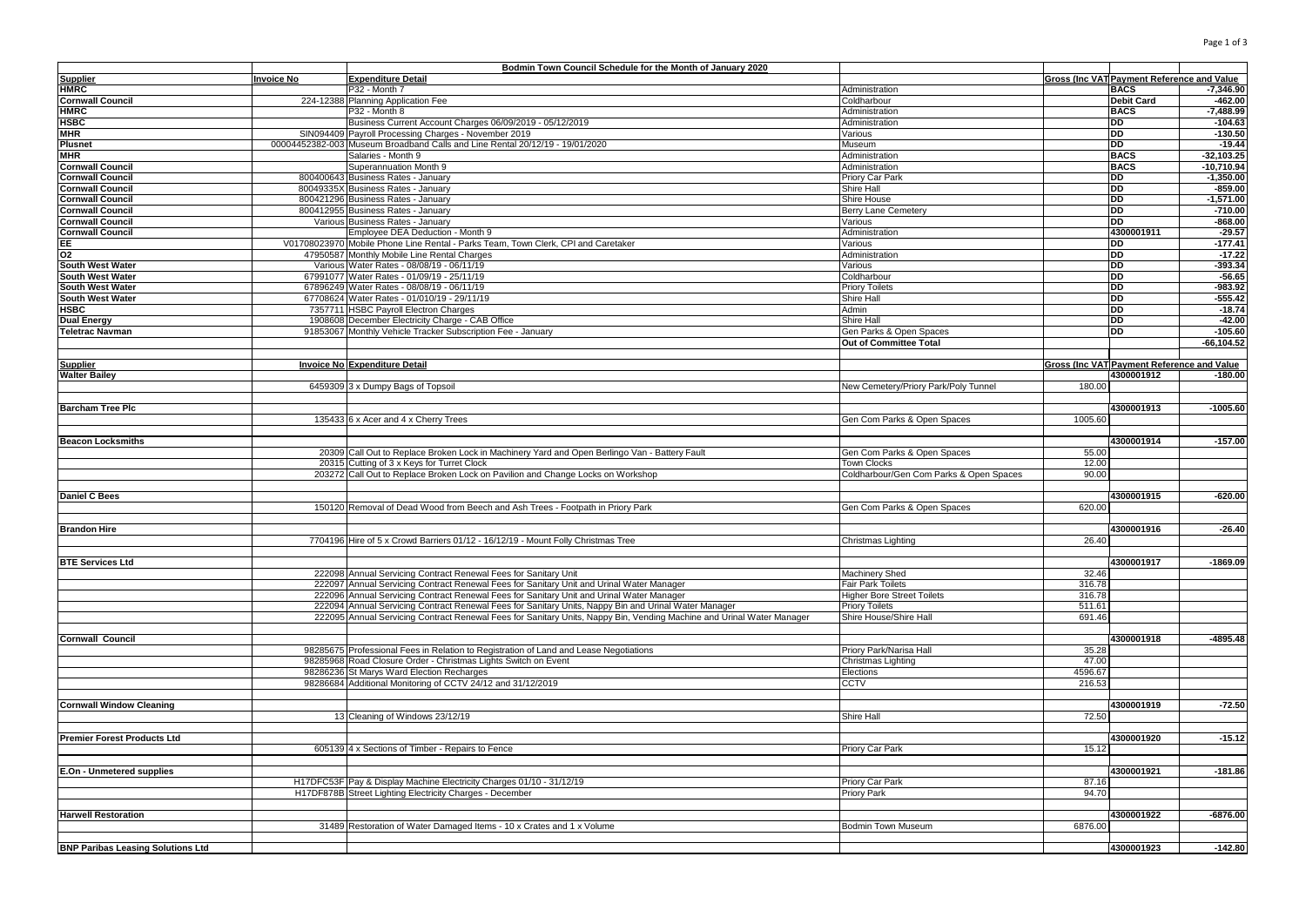|                                          |                   | Bodmin Town Council Schedule for the Month of January 2020                                                            |                                         |         |                                            |               |
|------------------------------------------|-------------------|-----------------------------------------------------------------------------------------------------------------------|-----------------------------------------|---------|--------------------------------------------|---------------|
| Supplier<br>HMRC                         | <b>Invoice No</b> | <b>Expenditure Detail</b>                                                                                             |                                         |         | Gross (Inc VAT Payment Reference and Value |               |
|                                          |                   | P32 - Month 7                                                                                                         | Administration                          |         | <b>BACS</b>                                | $-7,346.90$   |
| <b>Cornwall Council</b>                  |                   | 224-12388 Planning Application Fee                                                                                    | Coldharbour                             |         | <b>Debit Card</b>                          | $-462.00$     |
| <b>HMRC</b>                              |                   | P32 - Month 8                                                                                                         | Administration                          |         | <b>BACS</b>                                | $-7,488.99$   |
| <b>HSBC</b>                              |                   | Business Current Account Charges 06/09/2019 - 05/12/2019                                                              | Administration                          |         | DD                                         | $-104.63$     |
| <b>MHR</b>                               |                   | SIN094409 Payroll Processing Charges - November 2019                                                                  | Various                                 |         | <b>DD</b>                                  | $-130.50$     |
| <b>Plusnet</b>                           |                   | 00004452382-003 Museum Broadband Calls and Line Rental 20/12/19 - 19/01/2020                                          | Museum                                  |         | <b>DD</b>                                  | $-19.44$      |
| <b>MHR</b>                               |                   | Salaries - Month 9                                                                                                    | Administration                          |         | <b>BACS</b>                                | $-32,103.25$  |
| <b>Cornwall Council</b>                  |                   | Superannuation Month 9                                                                                                | Administration                          |         | <b>BACS</b>                                | $-10,710.94$  |
| <b>Cornwall Council</b>                  |                   | 800400643 Business Rates - January                                                                                    | Priory Car Park                         |         | DD                                         | $-1,350.00$   |
| <b>Cornwall Council</b>                  |                   | 80049335X Business Rates - January                                                                                    | Shire Hall                              |         | DD                                         | $-859.00$     |
| <b>Cornwall Council</b>                  |                   | 800421296 Business Rates - January                                                                                    | Shire House                             |         | DD                                         | $-1,571.00$   |
| <b>Cornwall Council</b>                  |                   | 800412955 Business Rates - January                                                                                    | <b>Berry Lane Cemetery</b>              |         | DD                                         | $-710.00$     |
| <b>Cornwall Council</b>                  |                   | Various Business Rates - January                                                                                      | Various                                 |         | DD                                         | $-868.00$     |
| <b>Cornwall Council</b>                  |                   | Employee DEA Deduction - Month 9                                                                                      | Administration                          |         | 4300001911                                 | $-29.57$      |
| EE                                       |                   | V01708023970 Mobile Phone Line Rental - Parks Team, Town Clerk, CPI and Caretaker                                     | Various                                 |         | DD                                         | $-177.41$     |
| O <sub>2</sub>                           |                   | 47950587 Monthly Mobile Line Rental Charges                                                                           | Administration                          |         | <b>DD</b>                                  | $-17.22$      |
| <b>South West Water</b>                  |                   | Various Water Rates - 08/08/19 - 06/11/19                                                                             | Various                                 |         | <b>DD</b>                                  | $-393.34$     |
| South West Water                         |                   | 67991077 Water Rates - 01/09/19 - 25/11/19                                                                            | Coldharbour                             |         | <b>DD</b>                                  | $-56.65$      |
| South West Water                         |                   | 67896249 Water Rates - 08/08/19 - 06/11/19                                                                            | <b>Priory Toilets</b>                   |         | DD                                         | $-983.92$     |
| <b>South West Water</b>                  |                   | 67708624 Water Rates - 01/010/19 - 29/11/19                                                                           | Shire Hall                              |         | <b>DD</b>                                  | $-555.42$     |
| HSBC                                     |                   | 7357711 HSBC Payroll Electron Charges                                                                                 | Admin                                   |         | DD                                         | $-18.74$      |
| <b>Dual Energy</b>                       |                   | 1908608 December Electricity Charge - CAB Office                                                                      | Shire Hall                              |         | DD                                         | $-42.00$      |
| <b>Teletrac Navman</b>                   |                   | 91853067 Monthly Vehicle Tracker Subscription Fee - January                                                           | Gen Parks & Open Spaces                 |         | DD                                         | $-105.60$     |
|                                          |                   |                                                                                                                       | Out of Committee Total                  |         |                                            | $-66, 104.52$ |
|                                          |                   |                                                                                                                       |                                         |         |                                            |               |
|                                          |                   | Invoice No Expenditure Detail                                                                                         |                                         |         | Gross (Inc VAT Payment Reference and Value |               |
| <b>Supplier</b><br><b>Walter Bailey</b>  |                   |                                                                                                                       |                                         |         | 4300001912                                 | $-180.00$     |
|                                          |                   |                                                                                                                       |                                         | 180.00  |                                            |               |
|                                          |                   | 6459309 3 x Dumpy Bags of Topsoil                                                                                     | New Cemetery/Priory Park/Poly Tunnel    |         |                                            |               |
|                                          |                   |                                                                                                                       |                                         |         |                                            |               |
| <b>Barcham Tree Plc</b>                  |                   |                                                                                                                       |                                         |         | 4300001913                                 | $-1005.60$    |
|                                          |                   | 135433 6 x Acer and 4 x Cherry Trees                                                                                  | Gen Com Parks & Open Spaces             | 1005.60 |                                            |               |
|                                          |                   |                                                                                                                       |                                         |         |                                            |               |
| <b>Beacon Locksmiths</b>                 |                   |                                                                                                                       |                                         |         | 4300001914                                 | $-157.00$     |
|                                          |                   | 20309 Call Out to Replace Broken Lock in Machinery Yard and Open Berlingo Van - Battery Fault                         | Gen Com Parks & Open Spaces             | 55.00   |                                            |               |
|                                          |                   | 20315 Cutting of 3 x Keys for Turret Clock                                                                            | <b>Town Clocks</b>                      | 12.00   |                                            |               |
|                                          |                   | 203272 Call Out to Replace Broken Lock on Pavilion and Change Locks on Workshop                                       | Coldharbour/Gen Com Parks & Open Spaces | 90.00   |                                            |               |
|                                          |                   |                                                                                                                       |                                         |         |                                            |               |
| <b>Daniel C Bees</b>                     |                   |                                                                                                                       |                                         |         | 4300001915                                 | $-620.00$     |
|                                          |                   | 150120 Removal of Dead Wood from Beech and Ash Trees - Footpath in Priory Park                                        | Gen Com Parks & Open Spaces             | 620.00  |                                            |               |
|                                          |                   |                                                                                                                       |                                         |         |                                            |               |
| <b>Brandon Hire</b>                      |                   |                                                                                                                       |                                         |         | 4300001916                                 | $-26.40$      |
|                                          |                   | 7704196 Hire of 5 x Crowd Barriers 01/12 - 16/12/19 - Mount Folly Christmas Tree                                      | Christmas Lighting                      | 26.40   |                                            |               |
|                                          |                   |                                                                                                                       |                                         |         |                                            |               |
| <b>BTE Services Ltd</b>                  |                   |                                                                                                                       |                                         |         | 4300001917                                 | $-1869.09$    |
|                                          |                   | 222098 Annual Servicing Contract Renewal Fees for Sanitary Unit                                                       | <b>Machinery Shed</b>                   | 32.46   |                                            |               |
|                                          |                   | 222097 Annual Servicing Contract Renewal Fees for Sanitary Unit and Urinal Water Manager                              | <b>Fair Park Toilets</b>                | 316.78  |                                            |               |
|                                          |                   | 222096 Annual Servicing Contract Renewal Fees for Sanitary Unit and Urinal Water Manager                              | <b>Higher Bore Street Toilets</b>       | 316.78  |                                            |               |
|                                          |                   | 222094 Annual Servicing Contract Renewal Fees for Sanitary Units, Nappy Bin and Urinal Water Manager                  | <b>Priory Toilets</b>                   | 511.61  |                                            |               |
|                                          |                   | 222095 Annual Servicing Contract Renewal Fees for Sanitary Units, Nappy Bin, Vending Machine and Urinal Water Manager | Shire House/Shire Hall                  | 691.46  |                                            |               |
|                                          |                   |                                                                                                                       |                                         |         |                                            |               |
| <b>Cornwall Council</b>                  |                   |                                                                                                                       |                                         |         | 4300001918                                 | $-4895.48$    |
|                                          |                   | 98285675 Professional Fees in Relation to Registration of Land and Lease Negotiations                                 | Priory Park/Narisa Hall                 | 35.28   |                                            |               |
|                                          |                   | 98285968 Road Closure Order - Christmas Lights Switch on Event                                                        | Christmas Lighting                      | 47.00   |                                            |               |
|                                          |                   | 98286236 St Marys Ward Election Recharges                                                                             | Elections                               | 4596.67 |                                            |               |
|                                          |                   | 98286684 Additional Monitoring of CCTV 24/12 and 31/12/2019                                                           | <b>CCTV</b>                             | 216.53  |                                            |               |
|                                          |                   |                                                                                                                       |                                         |         |                                            |               |
| <b>Cornwall Window Cleaning</b>          |                   |                                                                                                                       |                                         |         | 4300001919                                 | $-72.50$      |
|                                          |                   | 13 Cleaning of Windows 23/12/19                                                                                       | Shire Hall                              | 72.50   |                                            |               |
|                                          |                   |                                                                                                                       |                                         |         |                                            |               |
| <b>Premier Forest Products Ltd</b>       |                   |                                                                                                                       |                                         |         | 4300001920                                 | $-15.12$      |
|                                          |                   | 605139 4 x Sections of Timber - Repairs to Fence                                                                      | Priory Car Park                         | 15.12   |                                            |               |
|                                          |                   |                                                                                                                       |                                         |         |                                            |               |
|                                          |                   |                                                                                                                       |                                         |         |                                            |               |
| E.On - Unmetered supplies                |                   |                                                                                                                       |                                         |         | 4300001921                                 | $-181.86$     |
|                                          |                   | H17DFC53F Pay & Display Machine Electricity Charges 01/10 - 31/12/19                                                  | Priory Car Park                         | 87.16   |                                            |               |
|                                          |                   | H17DF878B Street Lighting Electricity Charges - December                                                              | <b>Priory Park</b>                      | 94.70   |                                            |               |
|                                          |                   |                                                                                                                       |                                         |         |                                            |               |
| <b>Harwell Restoration</b>               |                   |                                                                                                                       |                                         |         | 4300001922                                 | $-6876.00$    |
|                                          |                   | 31489 Restoration of Water Damaged Items - 10 x Crates and 1 x Volume                                                 | <b>Bodmin Town Museum</b>               | 6876.00 |                                            |               |
|                                          |                   |                                                                                                                       |                                         |         |                                            |               |
| <b>BNP Paribas Leasing Solutions Ltd</b> |                   |                                                                                                                       |                                         |         | 4300001923                                 | $-142.80$     |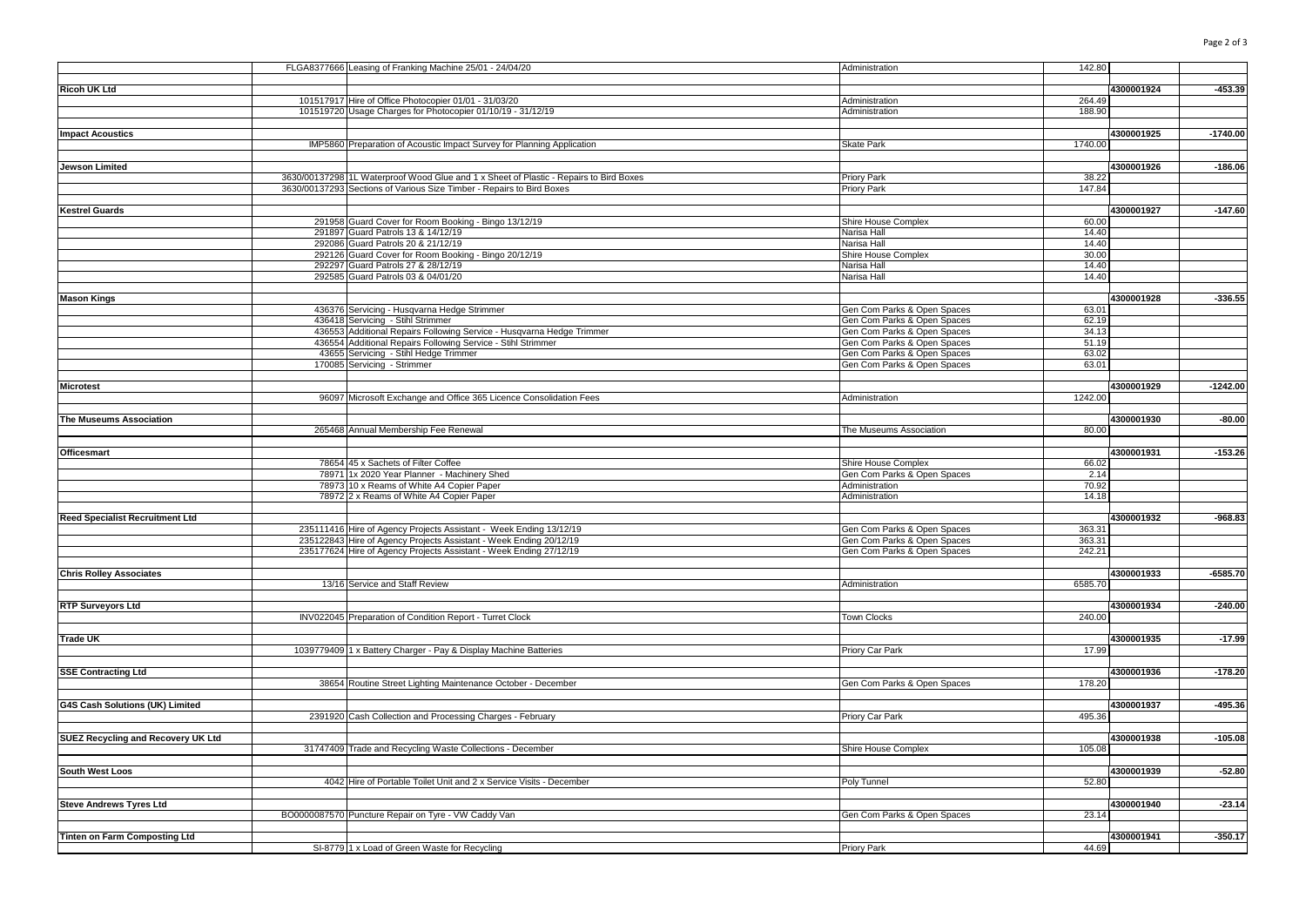|                                        | FLGA8377666 Leasing of Franking Machine 25/01 - 24/04/20                                                   | 142.80<br>Administration                                                     |            |            |
|----------------------------------------|------------------------------------------------------------------------------------------------------------|------------------------------------------------------------------------------|------------|------------|
|                                        |                                                                                                            |                                                                              |            |            |
| <b>Ricoh UK Ltd</b>                    |                                                                                                            |                                                                              | 4300001924 | $-453.39$  |
|                                        | 101517917 Hire of Office Photocopier 01/01 - 31/03/20                                                      | Administration<br>264.49                                                     |            |            |
|                                        | 101519720 Usage Charges for Photocopier 01/10/19 - 31/12/19                                                | Administration<br>188.90                                                     |            |            |
|                                        |                                                                                                            |                                                                              |            |            |
| <b>Impact Acoustics</b>                |                                                                                                            |                                                                              | 4300001925 | $-1740.00$ |
|                                        | IMP5860 Preparation of Acoustic Impact Survey for Planning Application                                     | Skate Park<br>1740.00                                                        |            |            |
|                                        |                                                                                                            |                                                                              |            |            |
| Jewson Limited                         |                                                                                                            |                                                                              | 4300001926 | $-186.06$  |
|                                        | 3630/00137298 1L Waterproof Wood Glue and 1 x Sheet of Plastic - Repairs to Bird Boxes                     | Priory Park<br>38.22                                                         |            |            |
|                                        | 3630/00137293 Sections of Various Size Timber - Repairs to Bird Boxes                                      | 147.84<br>Priory Park                                                        |            |            |
|                                        |                                                                                                            |                                                                              |            |            |
| <b>Kestrel Guards</b>                  |                                                                                                            |                                                                              | 4300001927 | $-147.60$  |
|                                        | 291958 Guard Cover for Room Booking - Bingo 13/12/19                                                       | Shire House Complex<br>60.00                                                 |            |            |
|                                        | 291897 Guard Patrols 13 & 14/12/19                                                                         | Narisa Hall<br>14.40                                                         |            |            |
|                                        | 292086 Guard Patrols 20 & 21/12/19                                                                         | Narisa Hall<br>14.40                                                         |            |            |
|                                        | 292126 Guard Cover for Room Booking - Bingo 20/12/19                                                       | Shire House Complex<br>30.00                                                 |            |            |
|                                        | 292297 Guard Patrols 27 & 28/12/19                                                                         | 14.40<br>Narisa Hall                                                         |            |            |
|                                        | 292585 Guard Patrols 03 & 04/01/20                                                                         | Narisa Hall<br>14.40                                                         |            |            |
|                                        |                                                                                                            |                                                                              |            |            |
| <b>Mason Kings</b>                     |                                                                                                            |                                                                              | 4300001928 | $-336.55$  |
|                                        | 436376 Servicing - Husqvarna Hedge Strimmer                                                                | Gen Com Parks & Open Spaces<br>63.01                                         |            |            |
|                                        | 436418 Servicing - Stihl Strimmer<br>436553 Additional Repairs Following Service - Husqvarna Hedge Trimmer | Gen Com Parks & Open Spaces<br>62.19<br>Gen Com Parks & Open Spaces<br>34.13 |            |            |
|                                        | 436554 Additional Repairs Following Service - Stihl Strimmer                                               | 51.19<br>Gen Com Parks & Open Spaces                                         |            |            |
|                                        | 43655 Servicing - Stihl Hedge Trimmer                                                                      | Gen Com Parks & Open Spaces<br>63.02                                         |            |            |
|                                        | 170085 Servicing - Strimmer                                                                                | 63.01<br>Gen Com Parks & Open Spaces                                         |            |            |
|                                        |                                                                                                            |                                                                              |            |            |
| <b>Microtest</b>                       |                                                                                                            |                                                                              | 4300001929 | $-1242.00$ |
|                                        | 96097 Microsoft Exchange and Office 365 Licence Consolidation Fees                                         | 1242.00<br>Administration                                                    |            |            |
|                                        |                                                                                                            |                                                                              |            |            |
| The Museums Association                |                                                                                                            |                                                                              | 4300001930 | $-80.00$   |
|                                        | 265468 Annual Membership Fee Renewal                                                                       | The Museums Association<br>80.00                                             |            |            |
|                                        |                                                                                                            |                                                                              |            |            |
| <b>Officesmart</b>                     |                                                                                                            |                                                                              | 4300001931 | $-153.26$  |
|                                        | 78654 45 x Sachets of Filter Coffee                                                                        | 66.02<br>Shire House Complex                                                 |            |            |
|                                        | 78971 1x 2020 Year Planner - Machinery Shed                                                                | Gen Com Parks & Open Spaces<br>2.14                                          |            |            |
|                                        | 78973 10 x Reams of White A4 Copier Paper                                                                  | Administration<br>70.92                                                      |            |            |
|                                        | 78972 2 x Reams of White A4 Copier Paper                                                                   | Administration<br>14.18                                                      |            |            |
|                                        |                                                                                                            |                                                                              |            |            |
| <b>Reed Specialist Recruitment Ltd</b> |                                                                                                            |                                                                              | 4300001932 | $-968.83$  |
|                                        | 235111416 Hire of Agency Projects Assistant - Week Ending 13/12/19                                         | 363.31<br>Gen Com Parks & Open Spaces                                        |            |            |
|                                        | 235122843 Hire of Agency Projects Assistant - Week Ending 20/12/19                                         | 363.31<br>Gen Com Parks & Open Spaces                                        |            |            |
|                                        | 235177624 Hire of Agency Projects Assistant - Week Ending 27/12/19                                         | 242.21<br>Gen Com Parks & Open Spaces                                        |            |            |
|                                        |                                                                                                            |                                                                              |            |            |
| <b>Chris Rolley Associates</b>         |                                                                                                            |                                                                              | 4300001933 | $-6585.70$ |
|                                        | 13/16 Service and Staff Review                                                                             | Administration<br>6585.70                                                    |            |            |
|                                        |                                                                                                            |                                                                              |            |            |
| <b>RTP Surveyors Ltd</b>               |                                                                                                            |                                                                              | 4300001934 | $-240.00$  |
|                                        | INV022045 Preparation of Condition Report - Turret Clock                                                   | 240.00<br><b>Town Clocks</b>                                                 |            |            |
|                                        |                                                                                                            |                                                                              |            |            |
| <b>Trade UK</b>                        |                                                                                                            |                                                                              | 4300001935 | $-17.99$   |
|                                        | 1039779409 1 x Battery Charger - Pay & Display Machine Batteries                                           | 17.99<br>Priory Car Park                                                     |            |            |
|                                        |                                                                                                            |                                                                              |            |            |
| <b>SSE Contracting Ltd</b>             |                                                                                                            |                                                                              | 4300001936 | $-178.20$  |
|                                        | 38654 Routine Street Lighting Maintenance October - December                                               | Gen Com Parks & Open Spaces<br>178.20                                        |            |            |
|                                        |                                                                                                            |                                                                              |            |            |
| G4S Cash Solutions (UK) Limited        |                                                                                                            |                                                                              | 4300001937 | $-495.36$  |
|                                        | 2391920 Cash Collection and Processing Charges - February                                                  | 495.36<br>Priory Car Park                                                    |            |            |
|                                        |                                                                                                            |                                                                              |            |            |
| SUEZ Recycling and Recovery UK Ltd     | 31747409 Trade and Recycling Waste Collections - December                                                  | Shire House Complex<br>105.08                                                | 4300001938 | $-105.08$  |
|                                        |                                                                                                            |                                                                              |            |            |
| <b>South West Loos</b>                 |                                                                                                            |                                                                              | 4300001939 | $-52.80$   |
|                                        | 4042 Hire of Portable Toilet Unit and 2 x Service Visits - December                                        | 52.80<br>Poly Tunnel                                                         |            |            |
|                                        |                                                                                                            |                                                                              |            |            |
| <b>Steve Andrews Tyres Ltd</b>         |                                                                                                            |                                                                              | 4300001940 | $-23.14$   |
|                                        | BO0000087570 Puncture Repair on Tyre - VW Caddy Van                                                        | Gen Com Parks & Open Spaces<br>23.14                                         |            |            |
|                                        |                                                                                                            |                                                                              |            |            |
| <b>Tinten on Farm Composting Ltd</b>   |                                                                                                            |                                                                              | 4300001941 | $-350.17$  |
|                                        | SI-8779 1 x Load of Green Waste for Recycling                                                              | Priory Park<br>44.69                                                         |            |            |
|                                        |                                                                                                            |                                                                              |            |            |